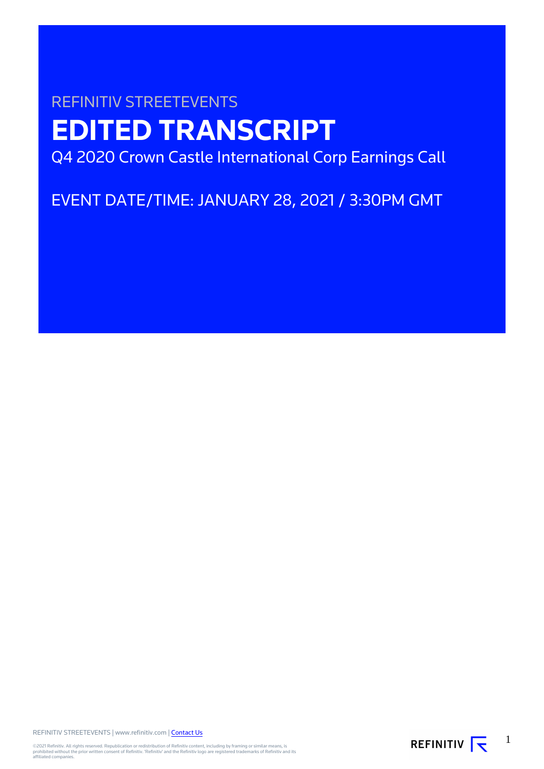# REFINITIV STREETEVENTS **EDITED TRANSCRIPT** Q4 2020 Crown Castle International Corp Earnings Call

EVENT DATE/TIME: JANUARY 28, 2021 / 3:30PM GMT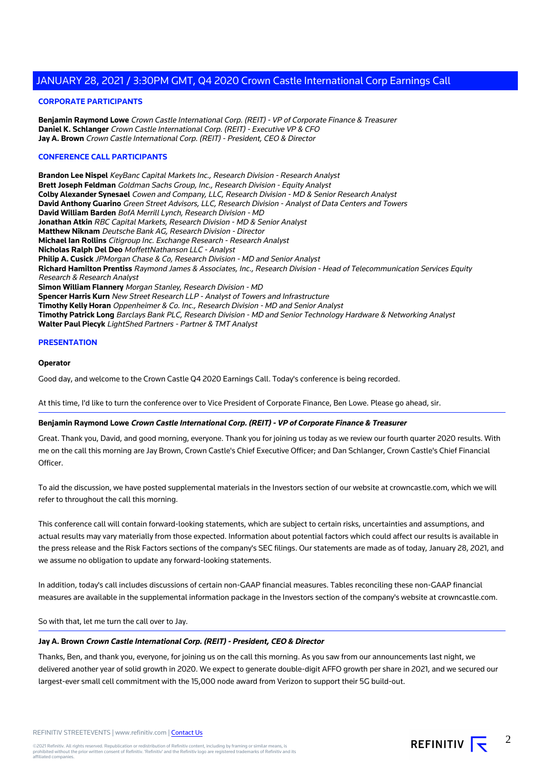#### **CORPORATE PARTICIPANTS**

**Benjamin Raymond Lowe** Crown Castle International Corp. (REIT) - VP of Corporate Finance & Treasurer **Daniel K. Schlanger** Crown Castle International Corp. (REIT) - Executive VP & CFO **Jay A. Brown** Crown Castle International Corp. (REIT) - President, CEO & Director

#### **CONFERENCE CALL PARTICIPANTS**

**Brandon Lee Nispel** KeyBanc Capital Markets Inc., Research Division - Research Analyst **Brett Joseph Feldman** Goldman Sachs Group, Inc., Research Division - Equity Analyst **Colby Alexander Synesael** Cowen and Company, LLC, Research Division - MD & Senior Research Analyst **David Anthony Guarino** Green Street Advisors, LLC, Research Division - Analyst of Data Centers and Towers **David William Barden** BofA Merrill Lynch, Research Division - MD **Jonathan Atkin** RBC Capital Markets, Research Division - MD & Senior Analyst **Matthew Niknam** Deutsche Bank AG, Research Division - Director **Michael Ian Rollins** Citigroup Inc. Exchange Research - Research Analyst **Nicholas Ralph Del Deo** MoffettNathanson LLC - Analyst **Philip A. Cusick** JPMorgan Chase & Co, Research Division - MD and Senior Analyst **Richard Hamilton Prentiss** Raymond James & Associates, Inc., Research Division - Head of Telecommunication Services Equity Research & Research Analyst **Simon William Flannery** Morgan Stanley, Research Division - MD **Spencer Harris Kurn** New Street Research LLP - Analyst of Towers and Infrastructure **Timothy Kelly Horan** Oppenheimer & Co. Inc., Research Division - MD and Senior Analyst **Timothy Patrick Long** Barclays Bank PLC, Research Division - MD and Senior Technology Hardware & Networking Analyst **Walter Paul Piecyk** LightShed Partners - Partner & TMT Analyst

#### **PRESENTATION**

#### **Operator**

Good day, and welcome to the Crown Castle Q4 2020 Earnings Call. Today's conference is being recorded.

At this time, I'd like to turn the conference over to Vice President of Corporate Finance, Ben Lowe. Please go ahead, sir.

#### **Benjamin Raymond Lowe Crown Castle International Corp. (REIT) - VP of Corporate Finance & Treasurer**

Great. Thank you, David, and good morning, everyone. Thank you for joining us today as we review our fourth quarter 2020 results. With me on the call this morning are Jay Brown, Crown Castle's Chief Executive Officer; and Dan Schlanger, Crown Castle's Chief Financial **Officer** 

To aid the discussion, we have posted supplemental materials in the Investors section of our website at crowncastle.com, which we will refer to throughout the call this morning.

This conference call will contain forward-looking statements, which are subject to certain risks, uncertainties and assumptions, and actual results may vary materially from those expected. Information about potential factors which could affect our results is available in the press release and the Risk Factors sections of the company's SEC filings. Our statements are made as of today, January 28, 2021, and we assume no obligation to update any forward-looking statements.

In addition, today's call includes discussions of certain non-GAAP financial measures. Tables reconciling these non-GAAP financial measures are available in the supplemental information package in the Investors section of the company's website at crowncastle.com.

So with that, let me turn the call over to Jay.

#### **Jay A. Brown Crown Castle International Corp. (REIT) - President, CEO & Director**

Thanks, Ben, and thank you, everyone, for joining us on the call this morning. As you saw from our announcements last night, we delivered another year of solid growth in 2020. We expect to generate double-digit AFFO growth per share in 2021, and we secured our largest-ever small cell commitment with the 15,000 node award from Verizon to support their 5G build-out.

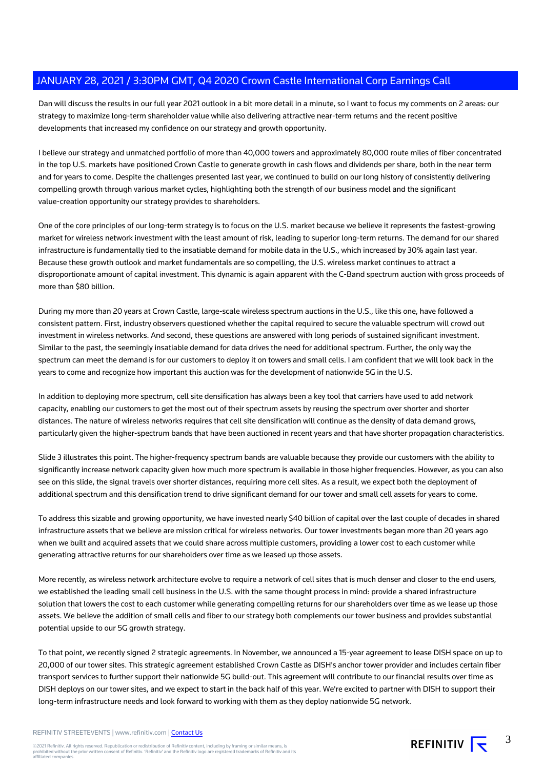Dan will discuss the results in our full year 2021 outlook in a bit more detail in a minute, so I want to focus my comments on 2 areas: our strategy to maximize long-term shareholder value while also delivering attractive near-term returns and the recent positive developments that increased my confidence on our strategy and growth opportunity.

I believe our strategy and unmatched portfolio of more than 40,000 towers and approximately 80,000 route miles of fiber concentrated in the top U.S. markets have positioned Crown Castle to generate growth in cash flows and dividends per share, both in the near term and for years to come. Despite the challenges presented last year, we continued to build on our long history of consistently delivering compelling growth through various market cycles, highlighting both the strength of our business model and the significant value-creation opportunity our strategy provides to shareholders.

One of the core principles of our long-term strategy is to focus on the U.S. market because we believe it represents the fastest-growing market for wireless network investment with the least amount of risk, leading to superior long-term returns. The demand for our shared infrastructure is fundamentally tied to the insatiable demand for mobile data in the U.S., which increased by 30% again last year. Because these growth outlook and market fundamentals are so compelling, the U.S. wireless market continues to attract a disproportionate amount of capital investment. This dynamic is again apparent with the C-Band spectrum auction with gross proceeds of more than \$80 billion.

During my more than 20 years at Crown Castle, large-scale wireless spectrum auctions in the U.S., like this one, have followed a consistent pattern. First, industry observers questioned whether the capital required to secure the valuable spectrum will crowd out investment in wireless networks. And second, these questions are answered with long periods of sustained significant investment. Similar to the past, the seemingly insatiable demand for data drives the need for additional spectrum. Further, the only way the spectrum can meet the demand is for our customers to deploy it on towers and small cells. I am confident that we will look back in the years to come and recognize how important this auction was for the development of nationwide 5G in the U.S.

In addition to deploying more spectrum, cell site densification has always been a key tool that carriers have used to add network capacity, enabling our customers to get the most out of their spectrum assets by reusing the spectrum over shorter and shorter distances. The nature of wireless networks requires that cell site densification will continue as the density of data demand grows, particularly given the higher-spectrum bands that have been auctioned in recent years and that have shorter propagation characteristics.

Slide 3 illustrates this point. The higher-frequency spectrum bands are valuable because they provide our customers with the ability to significantly increase network capacity given how much more spectrum is available in those higher frequencies. However, as you can also see on this slide, the signal travels over shorter distances, requiring more cell sites. As a result, we expect both the deployment of additional spectrum and this densification trend to drive significant demand for our tower and small cell assets for years to come.

To address this sizable and growing opportunity, we have invested nearly \$40 billion of capital over the last couple of decades in shared infrastructure assets that we believe are mission critical for wireless networks. Our tower investments began more than 20 years ago when we built and acquired assets that we could share across multiple customers, providing a lower cost to each customer while generating attractive returns for our shareholders over time as we leased up those assets.

More recently, as wireless network architecture evolve to require a network of cell sites that is much denser and closer to the end users, we established the leading small cell business in the U.S. with the same thought process in mind: provide a shared infrastructure solution that lowers the cost to each customer while generating compelling returns for our shareholders over time as we lease up those assets. We believe the addition of small cells and fiber to our strategy both complements our tower business and provides substantial potential upside to our 5G growth strategy.

To that point, we recently signed 2 strategic agreements. In November, we announced a 15-year agreement to lease DISH space on up to 20,000 of our tower sites. This strategic agreement established Crown Castle as DISH's anchor tower provider and includes certain fiber transport services to further support their nationwide 5G build-out. This agreement will contribute to our financial results over time as DISH deploys on our tower sites, and we expect to start in the back half of this year. We're excited to partner with DISH to support their long-term infrastructure needs and look forward to working with them as they deploy nationwide 5G network.

REFINITIV STREETEVENTS | www.refinitiv.com | [Contact Us](https://www.refinitiv.com/en/contact-us)

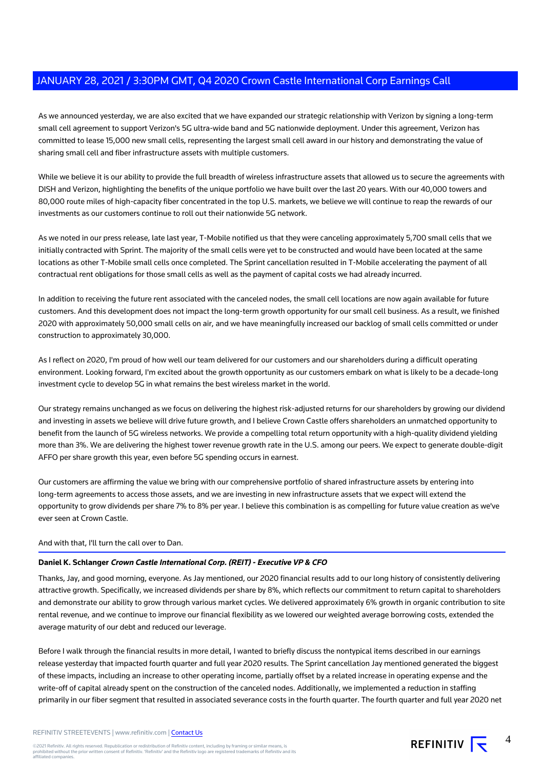As we announced yesterday, we are also excited that we have expanded our strategic relationship with Verizon by signing a long-term small cell agreement to support Verizon's 5G ultra-wide band and 5G nationwide deployment. Under this agreement, Verizon has committed to lease 15,000 new small cells, representing the largest small cell award in our history and demonstrating the value of sharing small cell and fiber infrastructure assets with multiple customers.

While we believe it is our ability to provide the full breadth of wireless infrastructure assets that allowed us to secure the agreements with DISH and Verizon, highlighting the benefits of the unique portfolio we have built over the last 20 years. With our 40,000 towers and 80,000 route miles of high-capacity fiber concentrated in the top U.S. markets, we believe we will continue to reap the rewards of our investments as our customers continue to roll out their nationwide 5G network.

As we noted in our press release, late last year, T-Mobile notified us that they were canceling approximately 5,700 small cells that we initially contracted with Sprint. The majority of the small cells were yet to be constructed and would have been located at the same locations as other T-Mobile small cells once completed. The Sprint cancellation resulted in T-Mobile accelerating the payment of all contractual rent obligations for those small cells as well as the payment of capital costs we had already incurred.

In addition to receiving the future rent associated with the canceled nodes, the small cell locations are now again available for future customers. And this development does not impact the long-term growth opportunity for our small cell business. As a result, we finished 2020 with approximately 50,000 small cells on air, and we have meaningfully increased our backlog of small cells committed or under construction to approximately 30,000.

As I reflect on 2020, I'm proud of how well our team delivered for our customers and our shareholders during a difficult operating environment. Looking forward, I'm excited about the growth opportunity as our customers embark on what is likely to be a decade-long investment cycle to develop 5G in what remains the best wireless market in the world.

Our strategy remains unchanged as we focus on delivering the highest risk-adjusted returns for our shareholders by growing our dividend and investing in assets we believe will drive future growth, and I believe Crown Castle offers shareholders an unmatched opportunity to benefit from the launch of 5G wireless networks. We provide a compelling total return opportunity with a high-quality dividend yielding more than 3%. We are delivering the highest tower revenue growth rate in the U.S. among our peers. We expect to generate double-digit AFFO per share growth this year, even before 5G spending occurs in earnest.

Our customers are affirming the value we bring with our comprehensive portfolio of shared infrastructure assets by entering into long-term agreements to access those assets, and we are investing in new infrastructure assets that we expect will extend the opportunity to grow dividends per share 7% to 8% per year. I believe this combination is as compelling for future value creation as we've ever seen at Crown Castle.

### And with that, I'll turn the call over to Dan.

#### **Daniel K. Schlanger Crown Castle International Corp. (REIT) - Executive VP & CFO**

Thanks, Jay, and good morning, everyone. As Jay mentioned, our 2020 financial results add to our long history of consistently delivering attractive growth. Specifically, we increased dividends per share by 8%, which reflects our commitment to return capital to shareholders and demonstrate our ability to grow through various market cycles. We delivered approximately 6% growth in organic contribution to site rental revenue, and we continue to improve our financial flexibility as we lowered our weighted average borrowing costs, extended the average maturity of our debt and reduced our leverage.

Before I walk through the financial results in more detail, I wanted to briefly discuss the nontypical items described in our earnings release yesterday that impacted fourth quarter and full year 2020 results. The Sprint cancellation Jay mentioned generated the biggest of these impacts, including an increase to other operating income, partially offset by a related increase in operating expense and the write-off of capital already spent on the construction of the canceled nodes. Additionally, we implemented a reduction in staffing primarily in our fiber segment that resulted in associated severance costs in the fourth quarter. The fourth quarter and full year 2020 net

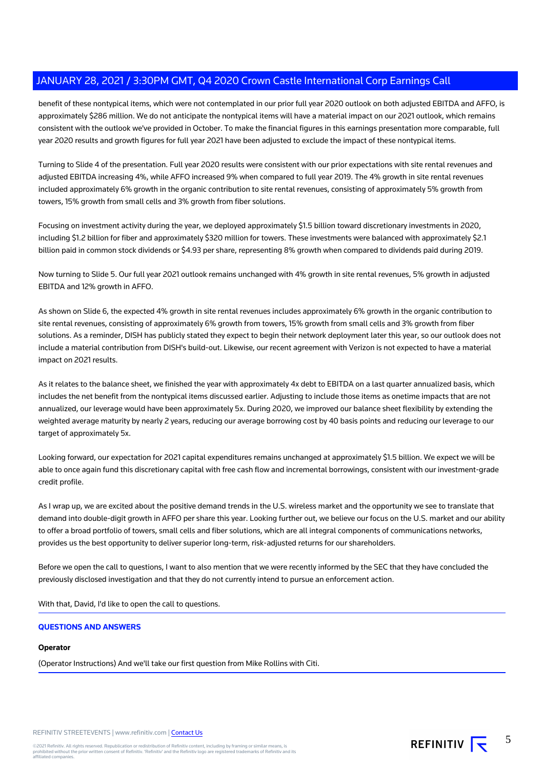benefit of these nontypical items, which were not contemplated in our prior full year 2020 outlook on both adjusted EBITDA and AFFO, is approximately \$286 million. We do not anticipate the nontypical items will have a material impact on our 2021 outlook, which remains consistent with the outlook we've provided in October. To make the financial figures in this earnings presentation more comparable, full year 2020 results and growth figures for full year 2021 have been adjusted to exclude the impact of these nontypical items.

Turning to Slide 4 of the presentation. Full year 2020 results were consistent with our prior expectations with site rental revenues and adjusted EBITDA increasing 4%, while AFFO increased 9% when compared to full year 2019. The 4% growth in site rental revenues included approximately 6% growth in the organic contribution to site rental revenues, consisting of approximately 5% growth from towers, 15% growth from small cells and 3% growth from fiber solutions.

Focusing on investment activity during the year, we deployed approximately \$1.5 billion toward discretionary investments in 2020, including \$1.2 billion for fiber and approximately \$320 million for towers. These investments were balanced with approximately \$2.1 billion paid in common stock dividends or \$4.93 per share, representing 8% growth when compared to dividends paid during 2019.

Now turning to Slide 5. Our full year 2021 outlook remains unchanged with 4% growth in site rental revenues, 5% growth in adjusted EBITDA and 12% growth in AFFO.

As shown on Slide 6, the expected 4% growth in site rental revenues includes approximately 6% growth in the organic contribution to site rental revenues, consisting of approximately 6% growth from towers, 15% growth from small cells and 3% growth from fiber solutions. As a reminder, DISH has publicly stated they expect to begin their network deployment later this year, so our outlook does not include a material contribution from DISH's build-out. Likewise, our recent agreement with Verizon is not expected to have a material impact on 2021 results.

As it relates to the balance sheet, we finished the year with approximately 4x debt to EBITDA on a last quarter annualized basis, which includes the net benefit from the nontypical items discussed earlier. Adjusting to include those items as onetime impacts that are not annualized, our leverage would have been approximately 5x. During 2020, we improved our balance sheet flexibility by extending the weighted average maturity by nearly 2 years, reducing our average borrowing cost by 40 basis points and reducing our leverage to our target of approximately 5x.

Looking forward, our expectation for 2021 capital expenditures remains unchanged at approximately \$1.5 billion. We expect we will be able to once again fund this discretionary capital with free cash flow and incremental borrowings, consistent with our investment-grade credit profile.

As I wrap up, we are excited about the positive demand trends in the U.S. wireless market and the opportunity we see to translate that demand into double-digit growth in AFFO per share this year. Looking further out, we believe our focus on the U.S. market and our ability to offer a broad portfolio of towers, small cells and fiber solutions, which are all integral components of communications networks, provides us the best opportunity to deliver superior long-term, risk-adjusted returns for our shareholders.

Before we open the call to questions, I want to also mention that we were recently informed by the SEC that they have concluded the previously disclosed investigation and that they do not currently intend to pursue an enforcement action.

With that, David, I'd like to open the call to questions.

### **QUESTIONS AND ANSWERS**

#### **Operator**

(Operator Instructions) And we'll take our first question from Mike Rollins with Citi.

REFINITIV STREETEVENTS | www.refinitiv.com | [Contact Us](https://www.refinitiv.com/en/contact-us)

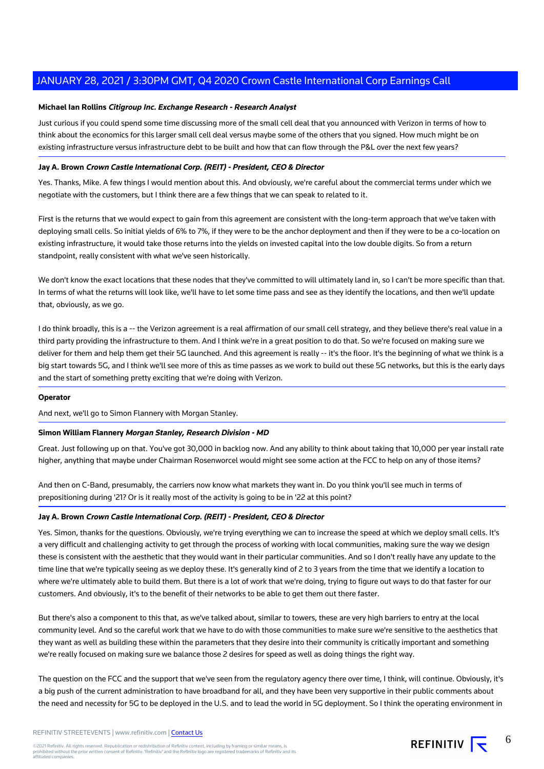#### **Michael Ian Rollins Citigroup Inc. Exchange Research - Research Analyst**

Just curious if you could spend some time discussing more of the small cell deal that you announced with Verizon in terms of how to think about the economics for this larger small cell deal versus maybe some of the others that you signed. How much might be on existing infrastructure versus infrastructure debt to be built and how that can flow through the P&L over the next few years?

### **Jay A. Brown Crown Castle International Corp. (REIT) - President, CEO & Director**

Yes. Thanks, Mike. A few things I would mention about this. And obviously, we're careful about the commercial terms under which we negotiate with the customers, but I think there are a few things that we can speak to related to it.

First is the returns that we would expect to gain from this agreement are consistent with the long-term approach that we've taken with deploying small cells. So initial yields of 6% to 7%, if they were to be the anchor deployment and then if they were to be a co-location on existing infrastructure, it would take those returns into the yields on invested capital into the low double digits. So from a return standpoint, really consistent with what we've seen historically.

We don't know the exact locations that these nodes that they've committed to will ultimately land in, so I can't be more specific than that. In terms of what the returns will look like, we'll have to let some time pass and see as they identify the locations, and then we'll update that, obviously, as we go.

I do think broadly, this is a -- the Verizon agreement is a real affirmation of our small cell strategy, and they believe there's real value in a third party providing the infrastructure to them. And I think we're in a great position to do that. So we're focused on making sure we deliver for them and help them get their 5G launched. And this agreement is really -- it's the floor. It's the beginning of what we think is a big start towards 5G, and I think we'll see more of this as time passes as we work to build out these 5G networks, but this is the early days and the start of something pretty exciting that we're doing with Verizon.

#### **Operator**

And next, we'll go to Simon Flannery with Morgan Stanley.

#### **Simon William Flannery Morgan Stanley, Research Division - MD**

Great. Just following up on that. You've got 30,000 in backlog now. And any ability to think about taking that 10,000 per year install rate higher, anything that maybe under Chairman Rosenworcel would might see some action at the FCC to help on any of those items?

And then on C-Band, presumably, the carriers now know what markets they want in. Do you think you'll see much in terms of prepositioning during '21? Or is it really most of the activity is going to be in '22 at this point?

#### **Jay A. Brown Crown Castle International Corp. (REIT) - President, CEO & Director**

Yes. Simon, thanks for the questions. Obviously, we're trying everything we can to increase the speed at which we deploy small cells. It's a very difficult and challenging activity to get through the process of working with local communities, making sure the way we design these is consistent with the aesthetic that they would want in their particular communities. And so I don't really have any update to the time line that we're typically seeing as we deploy these. It's generally kind of 2 to 3 years from the time that we identify a location to where we're ultimately able to build them. But there is a lot of work that we're doing, trying to figure out ways to do that faster for our customers. And obviously, it's to the benefit of their networks to be able to get them out there faster.

But there's also a component to this that, as we've talked about, similar to towers, these are very high barriers to entry at the local community level. And so the careful work that we have to do with those communities to make sure we're sensitive to the aesthetics that they want as well as building these within the parameters that they desire into their community is critically important and something we're really focused on making sure we balance those 2 desires for speed as well as doing things the right way.

The question on the FCC and the support that we've seen from the regulatory agency there over time, I think, will continue. Obviously, it's a big push of the current administration to have broadband for all, and they have been very supportive in their public comments about the need and necessity for 5G to be deployed in the U.S. and to lead the world in 5G deployment. So I think the operating environment in

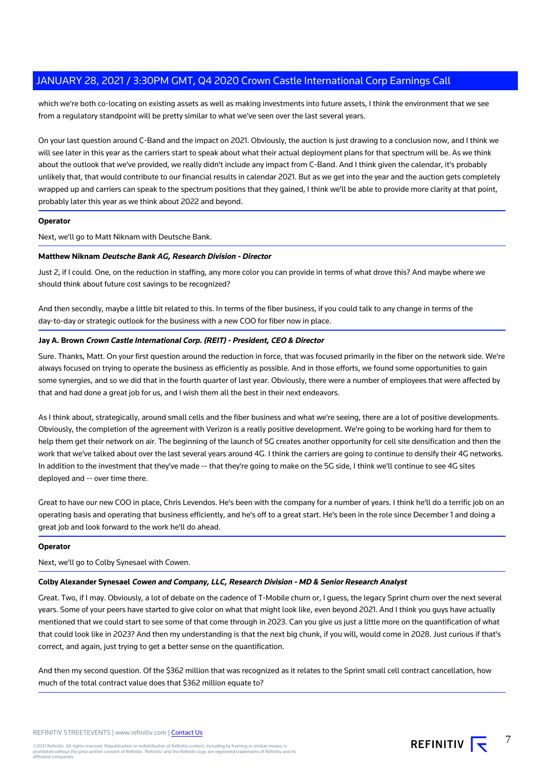which we're both co-locating on existing assets as well as making investments into future assets, I think the environment that we see from a regulatory standpoint will be pretty similar to what we've seen over the last several years.

On your last question around C-Band and the impact on 2021. Obviously, the auction is just drawing to a conclusion now, and I think we will see later in this year as the carriers start to speak about what their actual deployment plans for that spectrum will be. As we think about the outlook that we've provided, we really didn't include any impact from C-Band. And I think given the calendar, it's probably unlikely that, that would contribute to our financial results in calendar 2021. But as we get into the year and the auction gets completely wrapped up and carriers can speak to the spectrum positions that they gained, I think we'll be able to provide more clarity at that point, probably later this year as we think about 2022 and beyond.

#### **Operator**

Next, we'll go to Matt Niknam with Deutsche Bank.

#### **Matthew Niknam Deutsche Bank AG, Research Division - Director**

Just 2, if I could. One, on the reduction in staffing, any more color you can provide in terms of what drove this? And maybe where we should think about future cost savings to be recognized?

And then secondly, maybe a little bit related to this. In terms of the fiber business, if you could talk to any change in terms of the day-to-day or strategic outlook for the business with a new COO for fiber now in place.

#### **Jay A. Brown Crown Castle International Corp. (REIT) - President, CEO & Director**

Sure. Thanks, Matt. On your first question around the reduction in force, that was focused primarily in the fiber on the network side. We're always focused on trying to operate the business as efficiently as possible. And in those efforts, we found some opportunities to gain some synergies, and so we did that in the fourth quarter of last year. Obviously, there were a number of employees that were affected by that and had done a great job for us, and I wish them all the best in their next endeavors.

As I think about, strategically, around small cells and the fiber business and what we're seeing, there are a lot of positive developments. Obviously, the completion of the agreement with Verizon is a really positive development. We're going to be working hard for them to help them get their network on air. The beginning of the launch of 5G creates another opportunity for cell site densification and then the work that we've talked about over the last several years around 4G. I think the carriers are going to continue to densify their 4G networks. In addition to the investment that they've made -- that they're going to make on the 5G side, I think we'll continue to see 4G sites deployed and -- over time there.

Great to have our new COO in place, Chris Levendos. He's been with the company for a number of years. I think he'll do a terrific job on an operating basis and operating that business efficiently, and he's off to a great start. He's been in the role since December 1 and doing a great job and look forward to the work he'll do ahead.

#### **Operator**

Next, we'll go to Colby Synesael with Cowen.

#### **Colby Alexander Synesael Cowen and Company, LLC, Research Division - MD & Senior Research Analyst**

Great. Two, if I may. Obviously, a lot of debate on the cadence of T-Mobile churn or, I guess, the legacy Sprint churn over the next several years. Some of your peers have started to give color on what that might look like, even beyond 2021. And I think you guys have actually mentioned that we could start to see some of that come through in 2023. Can you give us just a little more on the quantification of what that could look like in 2023? And then my understanding is that the next big chunk, if you will, would come in 2028. Just curious if that's correct, and again, just trying to get a better sense on the quantification.

And then my second question. Of the \$362 million that was recognized as it relates to the Sprint small cell contract cancellation, how much of the total contract value does that \$362 million equate to?

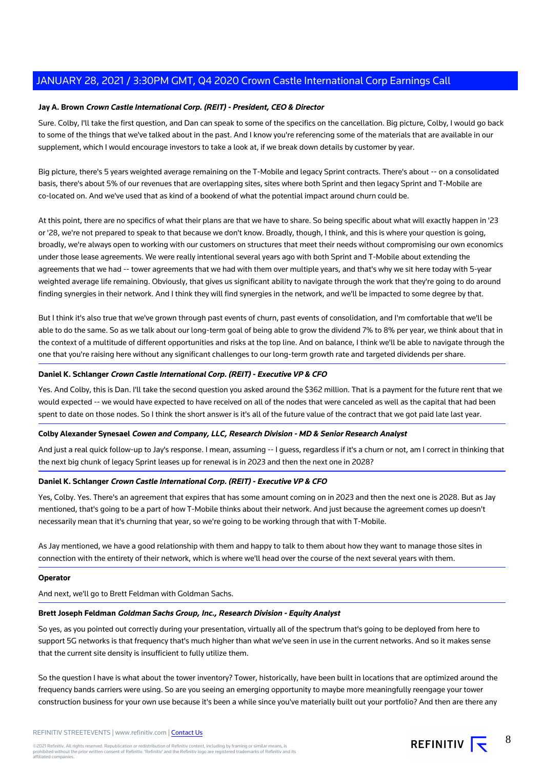#### **Jay A. Brown Crown Castle International Corp. (REIT) - President, CEO & Director**

Sure. Colby, I'll take the first question, and Dan can speak to some of the specifics on the cancellation. Big picture, Colby, I would go back to some of the things that we've talked about in the past. And I know you're referencing some of the materials that are available in our supplement, which I would encourage investors to take a look at, if we break down details by customer by year.

Big picture, there's 5 years weighted average remaining on the T-Mobile and legacy Sprint contracts. There's about -- on a consolidated basis, there's about 5% of our revenues that are overlapping sites, sites where both Sprint and then legacy Sprint and T-Mobile are co-located on. And we've used that as kind of a bookend of what the potential impact around churn could be.

At this point, there are no specifics of what their plans are that we have to share. So being specific about what will exactly happen in '23 or '28, we're not prepared to speak to that because we don't know. Broadly, though, I think, and this is where your question is going, broadly, we're always open to working with our customers on structures that meet their needs without compromising our own economics under those lease agreements. We were really intentional several years ago with both Sprint and T-Mobile about extending the agreements that we had -- tower agreements that we had with them over multiple years, and that's why we sit here today with 5-year weighted average life remaining. Obviously, that gives us significant ability to navigate through the work that they're going to do around finding synergies in their network. And I think they will find synergies in the network, and we'll be impacted to some degree by that.

But I think it's also true that we've grown through past events of churn, past events of consolidation, and I'm comfortable that we'll be able to do the same. So as we talk about our long-term goal of being able to grow the dividend 7% to 8% per year, we think about that in the context of a multitude of different opportunities and risks at the top line. And on balance, I think we'll be able to navigate through the one that you're raising here without any significant challenges to our long-term growth rate and targeted dividends per share.

#### **Daniel K. Schlanger Crown Castle International Corp. (REIT) - Executive VP & CFO**

Yes. And Colby, this is Dan. I'll take the second question you asked around the \$362 million. That is a payment for the future rent that we would expected -- we would have expected to have received on all of the nodes that were canceled as well as the capital that had been spent to date on those nodes. So I think the short answer is it's all of the future value of the contract that we got paid late last year.

#### **Colby Alexander Synesael Cowen and Company, LLC, Research Division - MD & Senior Research Analyst**

And just a real quick follow-up to Jay's response. I mean, assuming -- I guess, regardless if it's a churn or not, am I correct in thinking that the next big chunk of legacy Sprint leases up for renewal is in 2023 and then the next one in 2028?

#### **Daniel K. Schlanger Crown Castle International Corp. (REIT) - Executive VP & CFO**

Yes, Colby. Yes. There's an agreement that expires that has some amount coming on in 2023 and then the next one is 2028. But as Jay mentioned, that's going to be a part of how T-Mobile thinks about their network. And just because the agreement comes up doesn't necessarily mean that it's churning that year, so we're going to be working through that with T-Mobile.

As Jay mentioned, we have a good relationship with them and happy to talk to them about how they want to manage those sites in connection with the entirety of their network, which is where we'll head over the course of the next several years with them.

#### **Operator**

And next, we'll go to Brett Feldman with Goldman Sachs.

#### **Brett Joseph Feldman Goldman Sachs Group, Inc., Research Division - Equity Analyst**

So yes, as you pointed out correctly during your presentation, virtually all of the spectrum that's going to be deployed from here to support 5G networks is that frequency that's much higher than what we've seen in use in the current networks. And so it makes sense that the current site density is insufficient to fully utilize them.

So the question I have is what about the tower inventory? Tower, historically, have been built in locations that are optimized around the frequency bands carriers were using. So are you seeing an emerging opportunity to maybe more meaningfully reengage your tower construction business for your own use because it's been a while since you've materially built out your portfolio? And then are there any

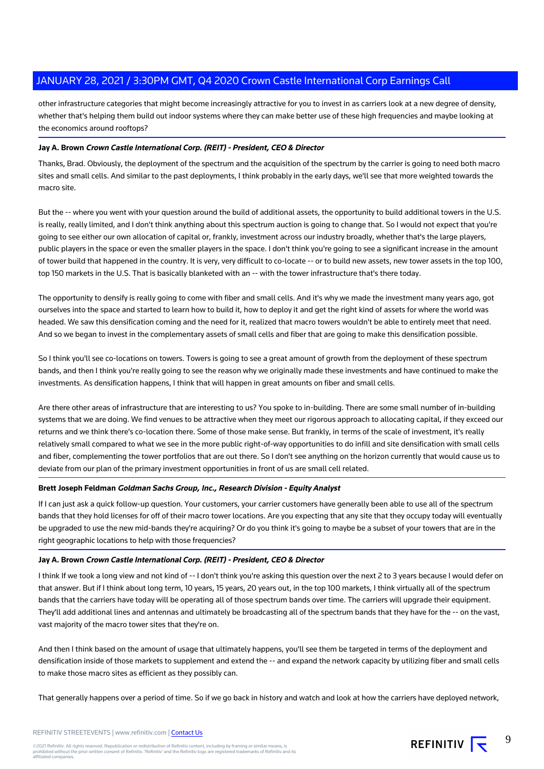other infrastructure categories that might become increasingly attractive for you to invest in as carriers look at a new degree of density, whether that's helping them build out indoor systems where they can make better use of these high frequencies and maybe looking at the economics around rooftops?

#### **Jay A. Brown Crown Castle International Corp. (REIT) - President, CEO & Director**

Thanks, Brad. Obviously, the deployment of the spectrum and the acquisition of the spectrum by the carrier is going to need both macro sites and small cells. And similar to the past deployments, I think probably in the early days, we'll see that more weighted towards the macro site.

But the -- where you went with your question around the build of additional assets, the opportunity to build additional towers in the U.S. is really, really limited, and I don't think anything about this spectrum auction is going to change that. So I would not expect that you're going to see either our own allocation of capital or, frankly, investment across our industry broadly, whether that's the large players, public players in the space or even the smaller players in the space. I don't think you're going to see a significant increase in the amount of tower build that happened in the country. It is very, very difficult to co-locate -- or to build new assets, new tower assets in the top 100, top 150 markets in the U.S. That is basically blanketed with an -- with the tower infrastructure that's there today.

The opportunity to densify is really going to come with fiber and small cells. And it's why we made the investment many years ago, got ourselves into the space and started to learn how to build it, how to deploy it and get the right kind of assets for where the world was headed. We saw this densification coming and the need for it, realized that macro towers wouldn't be able to entirely meet that need. And so we began to invest in the complementary assets of small cells and fiber that are going to make this densification possible.

So I think you'll see co-locations on towers. Towers is going to see a great amount of growth from the deployment of these spectrum bands, and then I think you're really going to see the reason why we originally made these investments and have continued to make the investments. As densification happens, I think that will happen in great amounts on fiber and small cells.

Are there other areas of infrastructure that are interesting to us? You spoke to in-building. There are some small number of in-building systems that we are doing. We find venues to be attractive when they meet our rigorous approach to allocating capital, if they exceed our returns and we think there's co-location there. Some of those make sense. But frankly, in terms of the scale of investment, it's really relatively small compared to what we see in the more public right-of-way opportunities to do infill and site densification with small cells and fiber, complementing the tower portfolios that are out there. So I don't see anything on the horizon currently that would cause us to deviate from our plan of the primary investment opportunities in front of us are small cell related.

#### **Brett Joseph Feldman Goldman Sachs Group, Inc., Research Division - Equity Analyst**

If I can just ask a quick follow-up question. Your customers, your carrier customers have generally been able to use all of the spectrum bands that they hold licenses for off of their macro tower locations. Are you expecting that any site that they occupy today will eventually be upgraded to use the new mid-bands they're acquiring? Or do you think it's going to maybe be a subset of your towers that are in the right geographic locations to help with those frequencies?

#### **Jay A. Brown Crown Castle International Corp. (REIT) - President, CEO & Director**

I think If we took a long view and not kind of -- I don't think you're asking this question over the next 2 to 3 years because I would defer on that answer. But if I think about long term, 10 years, 15 years, 20 years out, in the top 100 markets, I think virtually all of the spectrum bands that the carriers have today will be operating all of those spectrum bands over time. The carriers will upgrade their equipment. They'll add additional lines and antennas and ultimately be broadcasting all of the spectrum bands that they have for the -- on the vast, vast majority of the macro tower sites that they're on.

And then I think based on the amount of usage that ultimately happens, you'll see them be targeted in terms of the deployment and densification inside of those markets to supplement and extend the -- and expand the network capacity by utilizing fiber and small cells to make those macro sites as efficient as they possibly can.

That generally happens over a period of time. So if we go back in history and watch and look at how the carriers have deployed network,

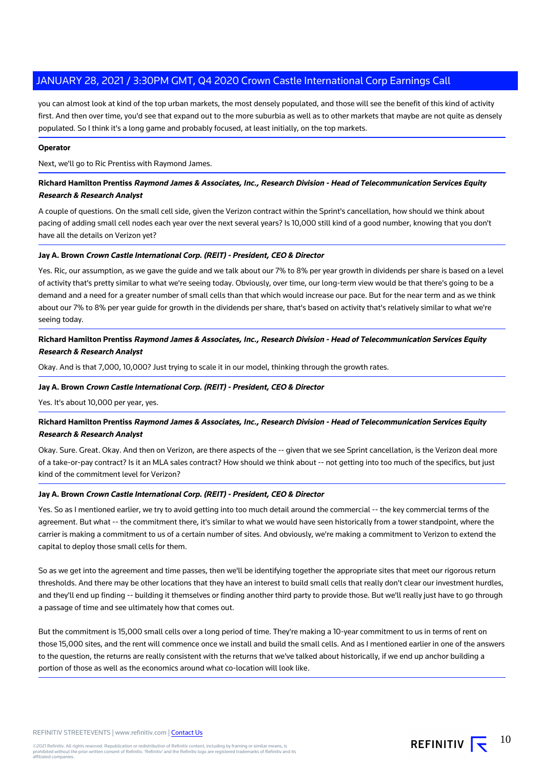you can almost look at kind of the top urban markets, the most densely populated, and those will see the benefit of this kind of activity first. And then over time, you'd see that expand out to the more suburbia as well as to other markets that maybe are not quite as densely populated. So I think it's a long game and probably focused, at least initially, on the top markets.

#### **Operator**

Next, we'll go to Ric Prentiss with Raymond James.

### **Richard Hamilton Prentiss Raymond James & Associates, Inc., Research Division - Head of Telecommunication Services Equity Research & Research Analyst**

A couple of questions. On the small cell side, given the Verizon contract within the Sprint's cancellation, how should we think about pacing of adding small cell nodes each year over the next several years? Is 10,000 still kind of a good number, knowing that you don't have all the details on Verizon yet?

#### **Jay A. Brown Crown Castle International Corp. (REIT) - President, CEO & Director**

Yes. Ric, our assumption, as we gave the guide and we talk about our 7% to 8% per year growth in dividends per share is based on a level of activity that's pretty similar to what we're seeing today. Obviously, over time, our long-term view would be that there's going to be a demand and a need for a greater number of small cells than that which would increase our pace. But for the near term and as we think about our 7% to 8% per year guide for growth in the dividends per share, that's based on activity that's relatively similar to what we're seeing today.

### **Richard Hamilton Prentiss Raymond James & Associates, Inc., Research Division - Head of Telecommunication Services Equity Research & Research Analyst**

Okay. And is that 7,000, 10,000? Just trying to scale it in our model, thinking through the growth rates.

#### **Jay A. Brown Crown Castle International Corp. (REIT) - President, CEO & Director**

Yes. It's about 10,000 per year, yes.

### **Richard Hamilton Prentiss Raymond James & Associates, Inc., Research Division - Head of Telecommunication Services Equity Research & Research Analyst**

Okay. Sure. Great. Okay. And then on Verizon, are there aspects of the -- given that we see Sprint cancellation, is the Verizon deal more of a take-or-pay contract? Is it an MLA sales contract? How should we think about -- not getting into too much of the specifics, but just kind of the commitment level for Verizon?

### **Jay A. Brown Crown Castle International Corp. (REIT) - President, CEO & Director**

Yes. So as I mentioned earlier, we try to avoid getting into too much detail around the commercial -- the key commercial terms of the agreement. But what -- the commitment there, it's similar to what we would have seen historically from a tower standpoint, where the carrier is making a commitment to us of a certain number of sites. And obviously, we're making a commitment to Verizon to extend the capital to deploy those small cells for them.

So as we get into the agreement and time passes, then we'll be identifying together the appropriate sites that meet our rigorous return thresholds. And there may be other locations that they have an interest to build small cells that really don't clear our investment hurdles, and they'll end up finding -- building it themselves or finding another third party to provide those. But we'll really just have to go through a passage of time and see ultimately how that comes out.

But the commitment is 15,000 small cells over a long period of time. They're making a 10-year commitment to us in terms of rent on those 15,000 sites, and the rent will commence once we install and build the small cells. And as I mentioned earlier in one of the answers to the question, the returns are really consistent with the returns that we've talked about historically, if we end up anchor building a portion of those as well as the economics around what co-location will look like.

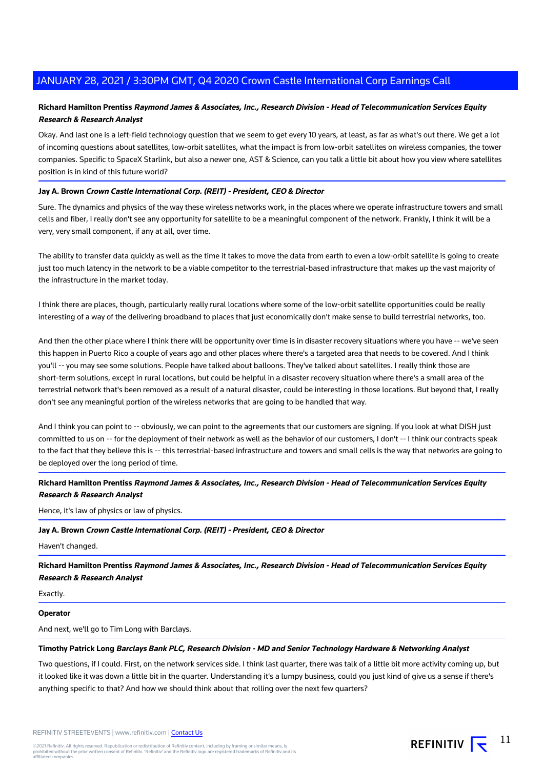### **Richard Hamilton Prentiss Raymond James & Associates, Inc., Research Division - Head of Telecommunication Services Equity Research & Research Analyst**

Okay. And last one is a left-field technology question that we seem to get every 10 years, at least, as far as what's out there. We get a lot of incoming questions about satellites, low-orbit satellites, what the impact is from low-orbit satellites on wireless companies, the tower companies. Specific to SpaceX Starlink, but also a newer one, AST & Science, can you talk a little bit about how you view where satellites position is in kind of this future world?

#### **Jay A. Brown Crown Castle International Corp. (REIT) - President, CEO & Director**

Sure. The dynamics and physics of the way these wireless networks work, in the places where we operate infrastructure towers and small cells and fiber, I really don't see any opportunity for satellite to be a meaningful component of the network. Frankly, I think it will be a very, very small component, if any at all, over time.

The ability to transfer data quickly as well as the time it takes to move the data from earth to even a low-orbit satellite is going to create just too much latency in the network to be a viable competitor to the terrestrial-based infrastructure that makes up the vast majority of the infrastructure in the market today.

I think there are places, though, particularly really rural locations where some of the low-orbit satellite opportunities could be really interesting of a way of the delivering broadband to places that just economically don't make sense to build terrestrial networks, too.

And then the other place where I think there will be opportunity over time is in disaster recovery situations where you have -- we've seen this happen in Puerto Rico a couple of years ago and other places where there's a targeted area that needs to be covered. And I think you'll -- you may see some solutions. People have talked about balloons. They've talked about satellites. I really think those are short-term solutions, except in rural locations, but could be helpful in a disaster recovery situation where there's a small area of the terrestrial network that's been removed as a result of a natural disaster, could be interesting in those locations. But beyond that, I really don't see any meaningful portion of the wireless networks that are going to be handled that way.

And I think you can point to -- obviously, we can point to the agreements that our customers are signing. If you look at what DISH just committed to us on -- for the deployment of their network as well as the behavior of our customers, I don't -- I think our contracts speak to the fact that they believe this is -- this terrestrial-based infrastructure and towers and small cells is the way that networks are going to be deployed over the long period of time.

### **Richard Hamilton Prentiss Raymond James & Associates, Inc., Research Division - Head of Telecommunication Services Equity Research & Research Analyst**

Hence, it's law of physics or law of physics.

#### **Jay A. Brown Crown Castle International Corp. (REIT) - President, CEO & Director**

Haven't changed.

**Richard Hamilton Prentiss Raymond James & Associates, Inc., Research Division - Head of Telecommunication Services Equity Research & Research Analyst**

Exactly.

#### **Operator**

And next, we'll go to Tim Long with Barclays.

#### **Timothy Patrick Long Barclays Bank PLC, Research Division - MD and Senior Technology Hardware & Networking Analyst**

Two questions, if I could. First, on the network services side. I think last quarter, there was talk of a little bit more activity coming up, but it looked like it was down a little bit in the quarter. Understanding it's a lumpy business, could you just kind of give us a sense if there's anything specific to that? And how we should think about that rolling over the next few quarters?

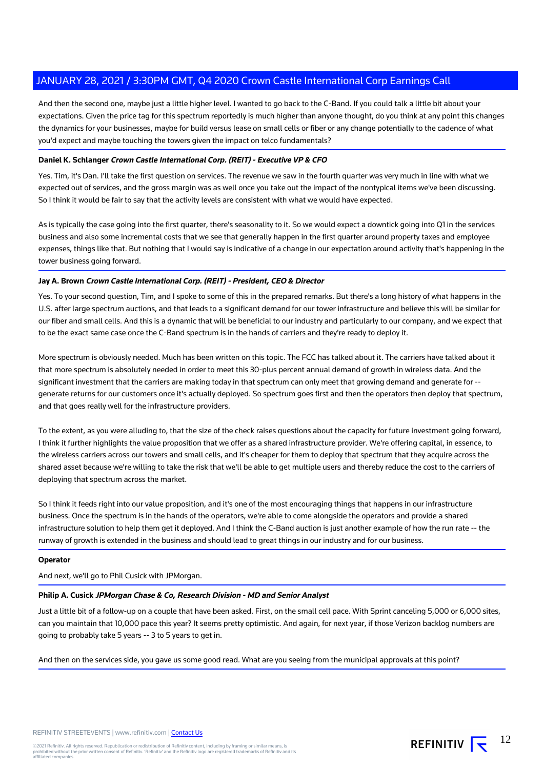And then the second one, maybe just a little higher level. I wanted to go back to the C-Band. If you could talk a little bit about your expectations. Given the price tag for this spectrum reportedly is much higher than anyone thought, do you think at any point this changes the dynamics for your businesses, maybe for build versus lease on small cells or fiber or any change potentially to the cadence of what you'd expect and maybe touching the towers given the impact on telco fundamentals?

### **Daniel K. Schlanger Crown Castle International Corp. (REIT) - Executive VP & CFO**

Yes. Tim, it's Dan. I'll take the first question on services. The revenue we saw in the fourth quarter was very much in line with what we expected out of services, and the gross margin was as well once you take out the impact of the nontypical items we've been discussing. So I think it would be fair to say that the activity levels are consistent with what we would have expected.

As is typically the case going into the first quarter, there's seasonality to it. So we would expect a downtick going into Q1 in the services business and also some incremental costs that we see that generally happen in the first quarter around property taxes and employee expenses, things like that. But nothing that I would say is indicative of a change in our expectation around activity that's happening in the tower business going forward.

#### **Jay A. Brown Crown Castle International Corp. (REIT) - President, CEO & Director**

Yes. To your second question, Tim, and I spoke to some of this in the prepared remarks. But there's a long history of what happens in the U.S. after large spectrum auctions, and that leads to a significant demand for our tower infrastructure and believe this will be similar for our fiber and small cells. And this is a dynamic that will be beneficial to our industry and particularly to our company, and we expect that to be the exact same case once the C-Band spectrum is in the hands of carriers and they're ready to deploy it.

More spectrum is obviously needed. Much has been written on this topic. The FCC has talked about it. The carriers have talked about it that more spectrum is absolutely needed in order to meet this 30-plus percent annual demand of growth in wireless data. And the significant investment that the carriers are making today in that spectrum can only meet that growing demand and generate for - generate returns for our customers once it's actually deployed. So spectrum goes first and then the operators then deploy that spectrum, and that goes really well for the infrastructure providers.

To the extent, as you were alluding to, that the size of the check raises questions about the capacity for future investment going forward, I think it further highlights the value proposition that we offer as a shared infrastructure provider. We're offering capital, in essence, to the wireless carriers across our towers and small cells, and it's cheaper for them to deploy that spectrum that they acquire across the shared asset because we're willing to take the risk that we'll be able to get multiple users and thereby reduce the cost to the carriers of deploying that spectrum across the market.

So I think it feeds right into our value proposition, and it's one of the most encouraging things that happens in our infrastructure business. Once the spectrum is in the hands of the operators, we're able to come alongside the operators and provide a shared infrastructure solution to help them get it deployed. And I think the C-Band auction is just another example of how the run rate -- the runway of growth is extended in the business and should lead to great things in our industry and for our business.

#### **Operator**

And next, we'll go to Phil Cusick with JPMorgan.

#### **Philip A. Cusick JPMorgan Chase & Co, Research Division - MD and Senior Analyst**

Just a little bit of a follow-up on a couple that have been asked. First, on the small cell pace. With Sprint canceling 5,000 or 6,000 sites, can you maintain that 10,000 pace this year? It seems pretty optimistic. And again, for next year, if those Verizon backlog numbers are going to probably take 5 years -- 3 to 5 years to get in.

And then on the services side, you gave us some good read. What are you seeing from the municipal approvals at this point?

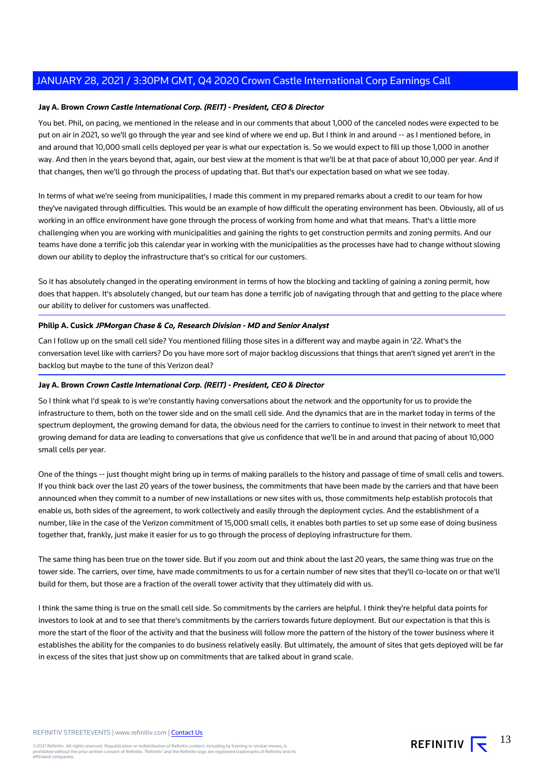#### **Jay A. Brown Crown Castle International Corp. (REIT) - President, CEO & Director**

You bet. Phil, on pacing, we mentioned in the release and in our comments that about 1,000 of the canceled nodes were expected to be put on air in 2021, so we'll go through the year and see kind of where we end up. But I think in and around -- as I mentioned before, in and around that 10,000 small cells deployed per year is what our expectation is. So we would expect to fill up those 1,000 in another way. And then in the years beyond that, again, our best view at the moment is that we'll be at that pace of about 10,000 per year. And if that changes, then we'll go through the process of updating that. But that's our expectation based on what we see today.

In terms of what we're seeing from municipalities, I made this comment in my prepared remarks about a credit to our team for how they've navigated through difficulties. This would be an example of how difficult the operating environment has been. Obviously, all of us working in an office environment have gone through the process of working from home and what that means. That's a little more challenging when you are working with municipalities and gaining the rights to get construction permits and zoning permits. And our teams have done a terrific job this calendar year in working with the municipalities as the processes have had to change without slowing down our ability to deploy the infrastructure that's so critical for our customers.

So it has absolutely changed in the operating environment in terms of how the blocking and tackling of gaining a zoning permit, how does that happen. It's absolutely changed, but our team has done a terrific job of navigating through that and getting to the place where our ability to deliver for customers was unaffected.

### **Philip A. Cusick JPMorgan Chase & Co, Research Division - MD and Senior Analyst**

Can I follow up on the small cell side? You mentioned filling those sites in a different way and maybe again in '22. What's the conversation level like with carriers? Do you have more sort of major backlog discussions that things that aren't signed yet aren't in the backlog but maybe to the tune of this Verizon deal?

### **Jay A. Brown Crown Castle International Corp. (REIT) - President, CEO & Director**

So I think what I'd speak to is we're constantly having conversations about the network and the opportunity for us to provide the infrastructure to them, both on the tower side and on the small cell side. And the dynamics that are in the market today in terms of the spectrum deployment, the growing demand for data, the obvious need for the carriers to continue to invest in their network to meet that growing demand for data are leading to conversations that give us confidence that we'll be in and around that pacing of about 10,000 small cells per year.

One of the things -- just thought might bring up in terms of making parallels to the history and passage of time of small cells and towers. If you think back over the last 20 years of the tower business, the commitments that have been made by the carriers and that have been announced when they commit to a number of new installations or new sites with us, those commitments help establish protocols that enable us, both sides of the agreement, to work collectively and easily through the deployment cycles. And the establishment of a number, like in the case of the Verizon commitment of 15,000 small cells, it enables both parties to set up some ease of doing business together that, frankly, just make it easier for us to go through the process of deploying infrastructure for them.

The same thing has been true on the tower side. But if you zoom out and think about the last 20 years, the same thing was true on the tower side. The carriers, over time, have made commitments to us for a certain number of new sites that they'll co-locate on or that we'll build for them, but those are a fraction of the overall tower activity that they ultimately did with us.

I think the same thing is true on the small cell side. So commitments by the carriers are helpful. I think they're helpful data points for investors to look at and to see that there's commitments by the carriers towards future deployment. But our expectation is that this is more the start of the floor of the activity and that the business will follow more the pattern of the history of the tower business where it establishes the ability for the companies to do business relatively easily. But ultimately, the amount of sites that gets deployed will be far in excess of the sites that just show up on commitments that are talked about in grand scale.

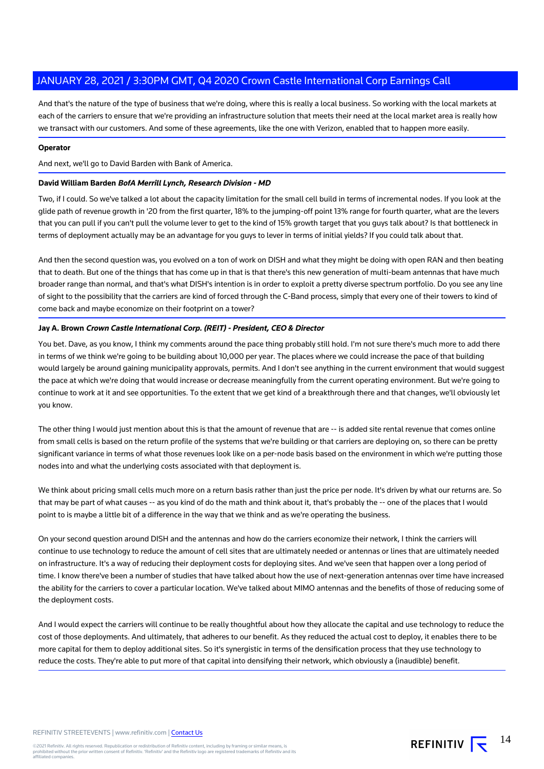And that's the nature of the type of business that we're doing, where this is really a local business. So working with the local markets at each of the carriers to ensure that we're providing an infrastructure solution that meets their need at the local market area is really how we transact with our customers. And some of these agreements, like the one with Verizon, enabled that to happen more easily.

#### **Operator**

And next, we'll go to David Barden with Bank of America.

#### **David William Barden BofA Merrill Lynch, Research Division - MD**

Two, if I could. So we've talked a lot about the capacity limitation for the small cell build in terms of incremental nodes. If you look at the glide path of revenue growth in '20 from the first quarter, 18% to the jumping-off point 13% range for fourth quarter, what are the levers that you can pull if you can't pull the volume lever to get to the kind of 15% growth target that you guys talk about? Is that bottleneck in terms of deployment actually may be an advantage for you guys to lever in terms of initial yields? If you could talk about that.

And then the second question was, you evolved on a ton of work on DISH and what they might be doing with open RAN and then beating that to death. But one of the things that has come up in that is that there's this new generation of multi-beam antennas that have much broader range than normal, and that's what DISH's intention is in order to exploit a pretty diverse spectrum portfolio. Do you see any line of sight to the possibility that the carriers are kind of forced through the C-Band process, simply that every one of their towers to kind of come back and maybe economize on their footprint on a tower?

#### **Jay A. Brown Crown Castle International Corp. (REIT) - President, CEO & Director**

You bet. Dave, as you know, I think my comments around the pace thing probably still hold. I'm not sure there's much more to add there in terms of we think we're going to be building about 10,000 per year. The places where we could increase the pace of that building would largely be around gaining municipality approvals, permits. And I don't see anything in the current environment that would suggest the pace at which we're doing that would increase or decrease meaningfully from the current operating environment. But we're going to continue to work at it and see opportunities. To the extent that we get kind of a breakthrough there and that changes, we'll obviously let you know.

The other thing I would just mention about this is that the amount of revenue that are -- is added site rental revenue that comes online from small cells is based on the return profile of the systems that we're building or that carriers are deploying on, so there can be pretty significant variance in terms of what those revenues look like on a per-node basis based on the environment in which we're putting those nodes into and what the underlying costs associated with that deployment is.

We think about pricing small cells much more on a return basis rather than just the price per node. It's driven by what our returns are. So that may be part of what causes -- as you kind of do the math and think about it, that's probably the -- one of the places that I would point to is maybe a little bit of a difference in the way that we think and as we're operating the business.

On your second question around DISH and the antennas and how do the carriers economize their network, I think the carriers will continue to use technology to reduce the amount of cell sites that are ultimately needed or antennas or lines that are ultimately needed on infrastructure. It's a way of reducing their deployment costs for deploying sites. And we've seen that happen over a long period of time. I know there've been a number of studies that have talked about how the use of next-generation antennas over time have increased the ability for the carriers to cover a particular location. We've talked about MIMO antennas and the benefits of those of reducing some of the deployment costs.

And I would expect the carriers will continue to be really thoughtful about how they allocate the capital and use technology to reduce the cost of those deployments. And ultimately, that adheres to our benefit. As they reduced the actual cost to deploy, it enables there to be more capital for them to deploy additional sites. So it's synergistic in terms of the densification process that they use technology to reduce the costs. They're able to put more of that capital into densifying their network, which obviously a (inaudible) benefit.

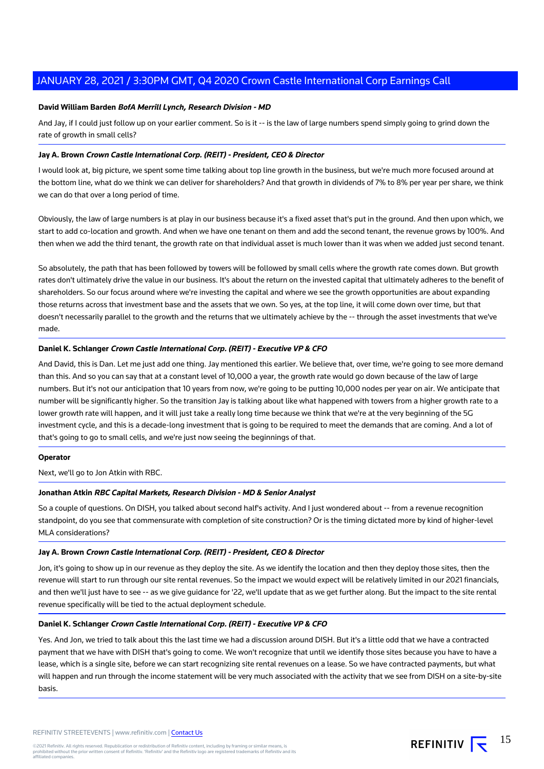#### **David William Barden BofA Merrill Lynch, Research Division - MD**

And Jay, if I could just follow up on your earlier comment. So is it -- is the law of large numbers spend simply going to grind down the rate of growth in small cells?

#### **Jay A. Brown Crown Castle International Corp. (REIT) - President, CEO & Director**

I would look at, big picture, we spent some time talking about top line growth in the business, but we're much more focused around at the bottom line, what do we think we can deliver for shareholders? And that growth in dividends of 7% to 8% per year per share, we think we can do that over a long period of time.

Obviously, the law of large numbers is at play in our business because it's a fixed asset that's put in the ground. And then upon which, we start to add co-location and growth. And when we have one tenant on them and add the second tenant, the revenue grows by 100%. And then when we add the third tenant, the growth rate on that individual asset is much lower than it was when we added just second tenant.

So absolutely, the path that has been followed by towers will be followed by small cells where the growth rate comes down. But growth rates don't ultimately drive the value in our business. It's about the return on the invested capital that ultimately adheres to the benefit of shareholders. So our focus around where we're investing the capital and where we see the growth opportunities are about expanding those returns across that investment base and the assets that we own. So yes, at the top line, it will come down over time, but that doesn't necessarily parallel to the growth and the returns that we ultimately achieve by the -- through the asset investments that we've made.

#### **Daniel K. Schlanger Crown Castle International Corp. (REIT) - Executive VP & CFO**

And David, this is Dan. Let me just add one thing. Jay mentioned this earlier. We believe that, over time, we're going to see more demand than this. And so you can say that at a constant level of 10,000 a year, the growth rate would go down because of the law of large numbers. But it's not our anticipation that 10 years from now, we're going to be putting 10,000 nodes per year on air. We anticipate that number will be significantly higher. So the transition Jay is talking about like what happened with towers from a higher growth rate to a lower growth rate will happen, and it will just take a really long time because we think that we're at the very beginning of the 5G investment cycle, and this is a decade-long investment that is going to be required to meet the demands that are coming. And a lot of that's going to go to small cells, and we're just now seeing the beginnings of that.

#### **Operator**

Next, we'll go to Jon Atkin with RBC.

#### **Jonathan Atkin RBC Capital Markets, Research Division - MD & Senior Analyst**

So a couple of questions. On DISH, you talked about second half's activity. And I just wondered about -- from a revenue recognition standpoint, do you see that commensurate with completion of site construction? Or is the timing dictated more by kind of higher-level MLA considerations?

#### **Jay A. Brown Crown Castle International Corp. (REIT) - President, CEO & Director**

Jon, it's going to show up in our revenue as they deploy the site. As we identify the location and then they deploy those sites, then the revenue will start to run through our site rental revenues. So the impact we would expect will be relatively limited in our 2021 financials, and then we'll just have to see -- as we give guidance for '22, we'll update that as we get further along. But the impact to the site rental revenue specifically will be tied to the actual deployment schedule.

#### **Daniel K. Schlanger Crown Castle International Corp. (REIT) - Executive VP & CFO**

Yes. And Jon, we tried to talk about this the last time we had a discussion around DISH. But it's a little odd that we have a contracted payment that we have with DISH that's going to come. We won't recognize that until we identify those sites because you have to have a lease, which is a single site, before we can start recognizing site rental revenues on a lease. So we have contracted payments, but what will happen and run through the income statement will be very much associated with the activity that we see from DISH on a site-by-site basis.

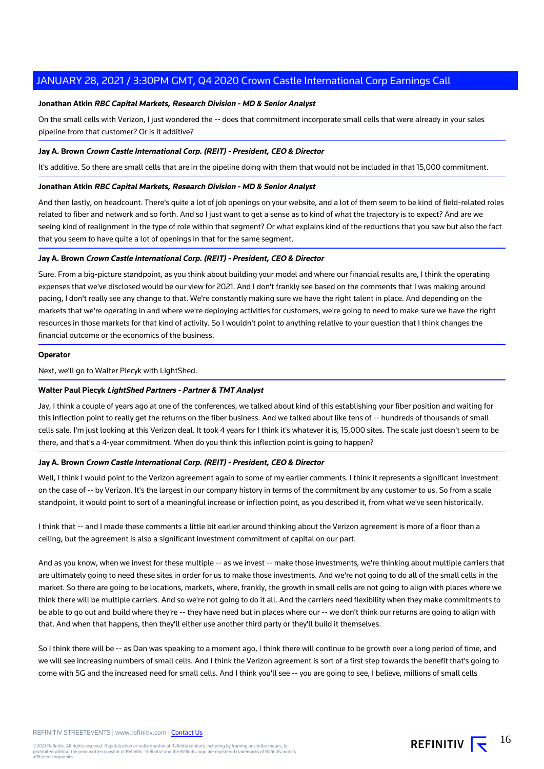#### **Jonathan Atkin RBC Capital Markets, Research Division - MD & Senior Analyst**

On the small cells with Verizon, I just wondered the -- does that commitment incorporate small cells that were already in your sales pipeline from that customer? Or is it additive?

#### **Jay A. Brown Crown Castle International Corp. (REIT) - President, CEO & Director**

It's additive. So there are small cells that are in the pipeline doing with them that would not be included in that 15,000 commitment.

#### **Jonathan Atkin RBC Capital Markets, Research Division - MD & Senior Analyst**

And then lastly, on headcount. There's quite a lot of job openings on your website, and a lot of them seem to be kind of field-related roles related to fiber and network and so forth. And so I just want to get a sense as to kind of what the trajectory is to expect? And are we seeing kind of realignment in the type of role within that segment? Or what explains kind of the reductions that you saw but also the fact that you seem to have quite a lot of openings in that for the same segment.

#### **Jay A. Brown Crown Castle International Corp. (REIT) - President, CEO & Director**

Sure. From a big-picture standpoint, as you think about building your model and where our financial results are, I think the operating expenses that we've disclosed would be our view for 2021. And I don't frankly see based on the comments that I was making around pacing, I don't really see any change to that. We're constantly making sure we have the right talent in place. And depending on the markets that we're operating in and where we're deploying activities for customers, we're going to need to make sure we have the right resources in those markets for that kind of activity. So I wouldn't point to anything relative to your question that I think changes the financial outcome or the economics of the business.

#### **Operator**

Next, we'll go to Walter Piecyk with LightShed.

#### **Walter Paul Piecyk LightShed Partners - Partner & TMT Analyst**

Jay, I think a couple of years ago at one of the conferences, we talked about kind of this establishing your fiber position and waiting for this inflection point to really get the returns on the fiber business. And we talked about like tens of -- hundreds of thousands of small cells sale. I'm just looking at this Verizon deal. It took 4 years for I think it's whatever it is, 15,000 sites. The scale just doesn't seem to be there, and that's a 4-year commitment. When do you think this inflection point is going to happen?

#### **Jay A. Brown Crown Castle International Corp. (REIT) - President, CEO & Director**

Well, I think I would point to the Verizon agreement again to some of my earlier comments. I think it represents a significant investment on the case of -- by Verizon. It's the largest in our company history in terms of the commitment by any customer to us. So from a scale standpoint, it would point to sort of a meaningful increase or inflection point, as you described it, from what we've seen historically.

I think that -- and I made these comments a little bit earlier around thinking about the Verizon agreement is more of a floor than a ceiling, but the agreement is also a significant investment commitment of capital on our part.

And as you know, when we invest for these multiple -- as we invest -- make those investments, we're thinking about multiple carriers that are ultimately going to need these sites in order for us to make those investments. And we're not going to do all of the small cells in the market. So there are going to be locations, markets, where, frankly, the growth in small cells are not going to align with places where we think there will be multiple carriers. And so we're not going to do it all. And the carriers need flexibility when they make commitments to be able to go out and build where they're -- they have need but in places where our -- we don't think our returns are going to align with that. And when that happens, then they'll either use another third party or they'll build it themselves.

So I think there will be -- as Dan was speaking to a moment ago, I think there will continue to be growth over a long period of time, and we will see increasing numbers of small cells. And I think the Verizon agreement is sort of a first step towards the benefit that's going to come with 5G and the increased need for small cells. And I think you'll see -- you are going to see, I believe, millions of small cells

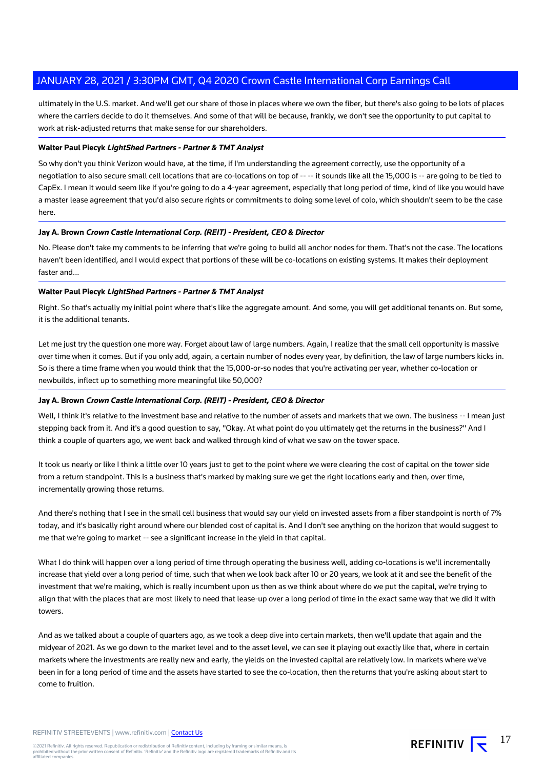ultimately in the U.S. market. And we'll get our share of those in places where we own the fiber, but there's also going to be lots of places where the carriers decide to do it themselves. And some of that will be because, frankly, we don't see the opportunity to put capital to work at risk-adjusted returns that make sense for our shareholders.

#### **Walter Paul Piecyk LightShed Partners - Partner & TMT Analyst**

So why don't you think Verizon would have, at the time, if I'm understanding the agreement correctly, use the opportunity of a negotiation to also secure small cell locations that are co-locations on top of -- -- it sounds like all the 15,000 is -- are going to be tied to CapEx. I mean it would seem like if you're going to do a 4-year agreement, especially that long period of time, kind of like you would have a master lease agreement that you'd also secure rights or commitments to doing some level of colo, which shouldn't seem to be the case here.

#### **Jay A. Brown Crown Castle International Corp. (REIT) - President, CEO & Director**

No. Please don't take my comments to be inferring that we're going to build all anchor nodes for them. That's not the case. The locations haven't been identified, and I would expect that portions of these will be co-locations on existing systems. It makes their deployment faster and...

#### **Walter Paul Piecyk LightShed Partners - Partner & TMT Analyst**

Right. So that's actually my initial point where that's like the aggregate amount. And some, you will get additional tenants on. But some, it is the additional tenants.

Let me just try the question one more way. Forget about law of large numbers. Again, I realize that the small cell opportunity is massive over time when it comes. But if you only add, again, a certain number of nodes every year, by definition, the law of large numbers kicks in. So is there a time frame when you would think that the 15,000-or-so nodes that you're activating per year, whether co-location or newbuilds, inflect up to something more meaningful like 50,000?

#### **Jay A. Brown Crown Castle International Corp. (REIT) - President, CEO & Director**

Well, I think it's relative to the investment base and relative to the number of assets and markets that we own. The business -- I mean just stepping back from it. And it's a good question to say, "Okay. At what point do you ultimately get the returns in the business?" And I think a couple of quarters ago, we went back and walked through kind of what we saw on the tower space.

It took us nearly or like I think a little over 10 years just to get to the point where we were clearing the cost of capital on the tower side from a return standpoint. This is a business that's marked by making sure we get the right locations early and then, over time, incrementally growing those returns.

And there's nothing that I see in the small cell business that would say our yield on invested assets from a fiber standpoint is north of 7% today, and it's basically right around where our blended cost of capital is. And I don't see anything on the horizon that would suggest to me that we're going to market -- see a significant increase in the yield in that capital.

What I do think will happen over a long period of time through operating the business well, adding co-locations is we'll incrementally increase that yield over a long period of time, such that when we look back after 10 or 20 years, we look at it and see the benefit of the investment that we're making, which is really incumbent upon us then as we think about where do we put the capital, we're trying to align that with the places that are most likely to need that lease-up over a long period of time in the exact same way that we did it with towers.

And as we talked about a couple of quarters ago, as we took a deep dive into certain markets, then we'll update that again and the midyear of 2021. As we go down to the market level and to the asset level, we can see it playing out exactly like that, where in certain markets where the investments are really new and early, the yields on the invested capital are relatively low. In markets where we've been in for a long period of time and the assets have started to see the co-location, then the returns that you're asking about start to come to fruition.

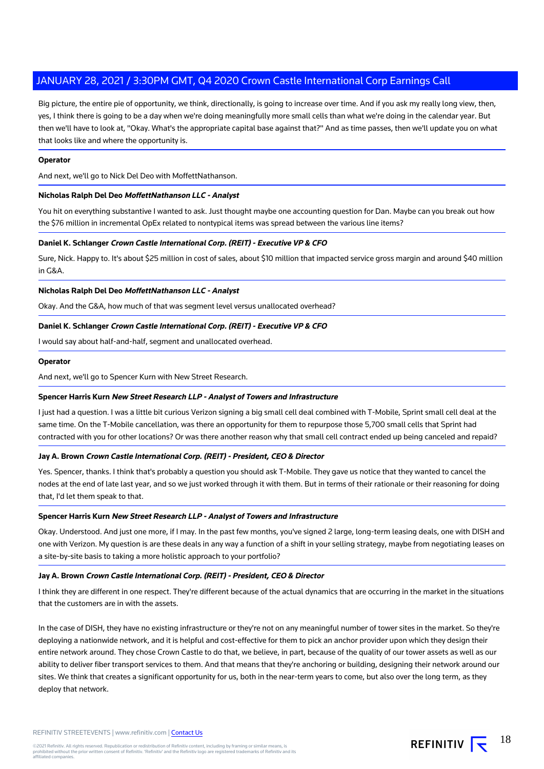Big picture, the entire pie of opportunity, we think, directionally, is going to increase over time. And if you ask my really long view, then, yes, I think there is going to be a day when we're doing meaningfully more small cells than what we're doing in the calendar year. But then we'll have to look at, "Okay. What's the appropriate capital base against that?" And as time passes, then we'll update you on what that looks like and where the opportunity is.

#### **Operator**

And next, we'll go to Nick Del Deo with MoffettNathanson.

#### **Nicholas Ralph Del Deo MoffettNathanson LLC - Analyst**

You hit on everything substantive I wanted to ask. Just thought maybe one accounting question for Dan. Maybe can you break out how the \$76 million in incremental OpEx related to nontypical items was spread between the various line items?

#### **Daniel K. Schlanger Crown Castle International Corp. (REIT) - Executive VP & CFO**

Sure, Nick. Happy to. It's about \$25 million in cost of sales, about \$10 million that impacted service gross margin and around \$40 million in G&A.

#### **Nicholas Ralph Del Deo MoffettNathanson LLC - Analyst**

Okay. And the G&A, how much of that was segment level versus unallocated overhead?

#### **Daniel K. Schlanger Crown Castle International Corp. (REIT) - Executive VP & CFO**

I would say about half-and-half, segment and unallocated overhead.

#### **Operator**

And next, we'll go to Spencer Kurn with New Street Research.

#### **Spencer Harris Kurn New Street Research LLP - Analyst of Towers and Infrastructure**

I just had a question. I was a little bit curious Verizon signing a big small cell deal combined with T-Mobile, Sprint small cell deal at the same time. On the T-Mobile cancellation, was there an opportunity for them to repurpose those 5,700 small cells that Sprint had contracted with you for other locations? Or was there another reason why that small cell contract ended up being canceled and repaid?

#### **Jay A. Brown Crown Castle International Corp. (REIT) - President, CEO & Director**

Yes. Spencer, thanks. I think that's probably a question you should ask T-Mobile. They gave us notice that they wanted to cancel the nodes at the end of late last year, and so we just worked through it with them. But in terms of their rationale or their reasoning for doing that, I'd let them speak to that.

#### **Spencer Harris Kurn New Street Research LLP - Analyst of Towers and Infrastructure**

Okay. Understood. And just one more, if I may. In the past few months, you've signed 2 large, long-term leasing deals, one with DISH and one with Verizon. My question is are these deals in any way a function of a shift in your selling strategy, maybe from negotiating leases on a site-by-site basis to taking a more holistic approach to your portfolio?

### **Jay A. Brown Crown Castle International Corp. (REIT) - President, CEO & Director**

I think they are different in one respect. They're different because of the actual dynamics that are occurring in the market in the situations that the customers are in with the assets.

In the case of DISH, they have no existing infrastructure or they're not on any meaningful number of tower sites in the market. So they're deploying a nationwide network, and it is helpful and cost-effective for them to pick an anchor provider upon which they design their entire network around. They chose Crown Castle to do that, we believe, in part, because of the quality of our tower assets as well as our ability to deliver fiber transport services to them. And that means that they're anchoring or building, designing their network around our sites. We think that creates a significant opportunity for us, both in the near-term years to come, but also over the long term, as they deploy that network.

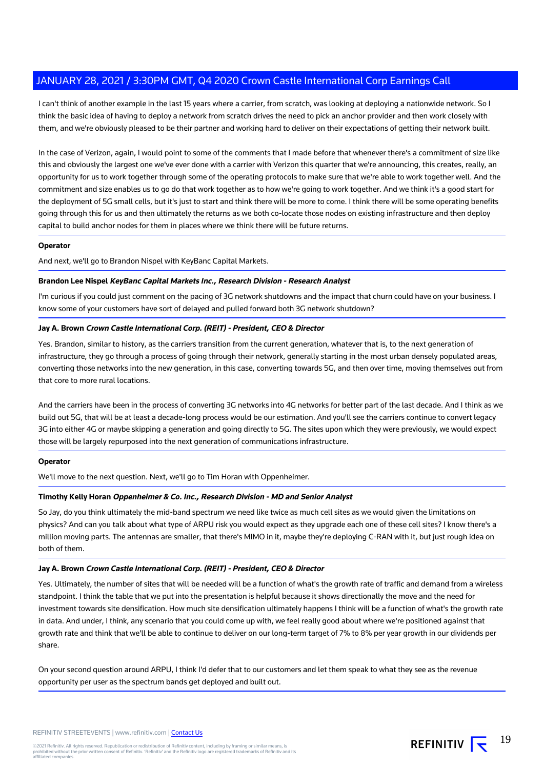I can't think of another example in the last 15 years where a carrier, from scratch, was looking at deploying a nationwide network. So I think the basic idea of having to deploy a network from scratch drives the need to pick an anchor provider and then work closely with them, and we're obviously pleased to be their partner and working hard to deliver on their expectations of getting their network built.

In the case of Verizon, again, I would point to some of the comments that I made before that whenever there's a commitment of size like this and obviously the largest one we've ever done with a carrier with Verizon this quarter that we're announcing, this creates, really, an opportunity for us to work together through some of the operating protocols to make sure that we're able to work together well. And the commitment and size enables us to go do that work together as to how we're going to work together. And we think it's a good start for the deployment of 5G small cells, but it's just to start and think there will be more to come. I think there will be some operating benefits going through this for us and then ultimately the returns as we both co-locate those nodes on existing infrastructure and then deploy capital to build anchor nodes for them in places where we think there will be future returns.

#### **Operator**

And next, we'll go to Brandon Nispel with KeyBanc Capital Markets.

#### **Brandon Lee Nispel KeyBanc Capital Markets Inc., Research Division - Research Analyst**

I'm curious if you could just comment on the pacing of 3G network shutdowns and the impact that churn could have on your business. I know some of your customers have sort of delayed and pulled forward both 3G network shutdown?

### **Jay A. Brown Crown Castle International Corp. (REIT) - President, CEO & Director**

Yes. Brandon, similar to history, as the carriers transition from the current generation, whatever that is, to the next generation of infrastructure, they go through a process of going through their network, generally starting in the most urban densely populated areas, converting those networks into the new generation, in this case, converting towards 5G, and then over time, moving themselves out from that core to more rural locations.

And the carriers have been in the process of converting 3G networks into 4G networks for better part of the last decade. And I think as we build out 5G, that will be at least a decade-long process would be our estimation. And you'll see the carriers continue to convert legacy 3G into either 4G or maybe skipping a generation and going directly to 5G. The sites upon which they were previously, we would expect those will be largely repurposed into the next generation of communications infrastructure.

#### **Operator**

We'll move to the next question. Next, we'll go to Tim Horan with Oppenheimer.

#### **Timothy Kelly Horan Oppenheimer & Co. Inc., Research Division - MD and Senior Analyst**

So Jay, do you think ultimately the mid-band spectrum we need like twice as much cell sites as we would given the limitations on physics? And can you talk about what type of ARPU risk you would expect as they upgrade each one of these cell sites? I know there's a million moving parts. The antennas are smaller, that there's MIMO in it, maybe they're deploying C-RAN with it, but just rough idea on both of them.

### **Jay A. Brown Crown Castle International Corp. (REIT) - President, CEO & Director**

Yes. Ultimately, the number of sites that will be needed will be a function of what's the growth rate of traffic and demand from a wireless standpoint. I think the table that we put into the presentation is helpful because it shows directionally the move and the need for investment towards site densification. How much site densification ultimately happens I think will be a function of what's the growth rate in data. And under, I think, any scenario that you could come up with, we feel really good about where we're positioned against that growth rate and think that we'll be able to continue to deliver on our long-term target of 7% to 8% per year growth in our dividends per share.

On your second question around ARPU, I think I'd defer that to our customers and let them speak to what they see as the revenue opportunity per user as the spectrum bands get deployed and built out.

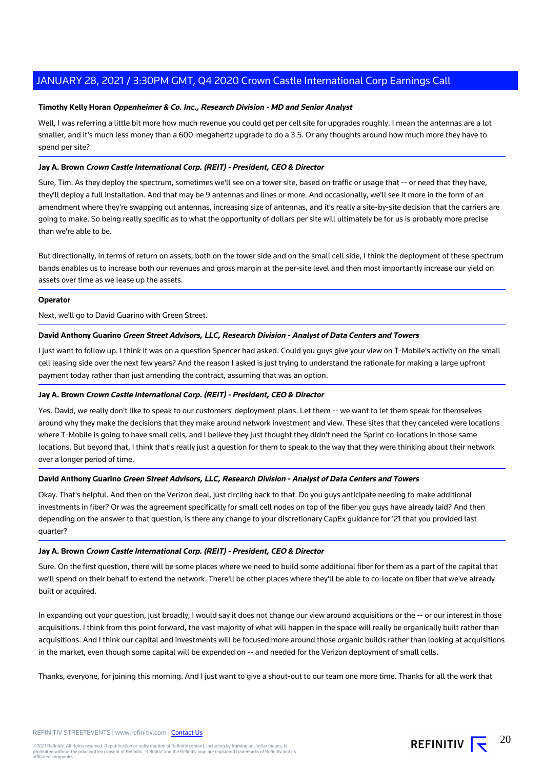#### **Timothy Kelly Horan Oppenheimer & Co. Inc., Research Division - MD and Senior Analyst**

Well, I was referring a little bit more how much revenue you could get per cell site for upgrades roughly. I mean the antennas are a lot smaller, and it's much less money than a 600-megahertz upgrade to do a 3.5. Or any thoughts around how much more they have to spend per site?

#### **Jay A. Brown Crown Castle International Corp. (REIT) - President, CEO & Director**

Sure, Tim. As they deploy the spectrum, sometimes we'll see on a tower site, based on traffic or usage that -- or need that they have, they'll deploy a full installation. And that may be 9 antennas and lines or more. And occasionally, we'll see it more in the form of an amendment where they're swapping out antennas, increasing size of antennas, and it's really a site-by-site decision that the carriers are going to make. So being really specific as to what the opportunity of dollars per site will ultimately be for us is probably more precise than we're able to be.

But directionally, in terms of return on assets, both on the tower side and on the small cell side, I think the deployment of these spectrum bands enables us to increase both our revenues and gross margin at the per-site level and then most importantly increase our yield on assets over time as we lease up the assets.

#### **Operator**

Next, we'll go to David Guarino with Green Street.

#### **David Anthony Guarino Green Street Advisors, LLC, Research Division - Analyst of Data Centers and Towers**

I just want to follow up. I think it was on a question Spencer had asked. Could you guys give your view on T-Mobile's activity on the small cell leasing side over the next few years? And the reason I asked is just trying to understand the rationale for making a large upfront payment today rather than just amending the contract, assuming that was an option.

#### **Jay A. Brown Crown Castle International Corp. (REIT) - President, CEO & Director**

Yes. David, we really don't like to speak to our customers' deployment plans. Let them -- we want to let them speak for themselves around why they make the decisions that they make around network investment and view. These sites that they canceled were locations where T-Mobile is going to have small cells, and I believe they just thought they didn't need the Sprint co-locations in those same locations. But beyond that, I think that's really just a question for them to speak to the way that they were thinking about their network over a longer period of time.

#### **David Anthony Guarino Green Street Advisors, LLC, Research Division - Analyst of Data Centers and Towers**

Okay. That's helpful. And then on the Verizon deal, just circling back to that. Do you guys anticipate needing to make additional investments in fiber? Or was the agreement specifically for small cell nodes on top of the fiber you guys have already laid? And then depending on the answer to that question, is there any change to your discretionary CapEx guidance for '21 that you provided last quarter?

#### **Jay A. Brown Crown Castle International Corp. (REIT) - President, CEO & Director**

Sure. On the first question, there will be some places where we need to build some additional fiber for them as a part of the capital that we'll spend on their behalf to extend the network. There'll be other places where they'll be able to co-locate on fiber that we've already built or acquired.

In expanding out your question, just broadly, I would say it does not change our view around acquisitions or the -- or our interest in those acquisitions. I think from this point forward, the vast majority of what will happen in the space will really be organically built rather than acquisitions. And I think our capital and investments will be focused more around those organic builds rather than looking at acquisitions in the market, even though some capital will be expended on -- and needed for the Verizon deployment of small cells.

Thanks, everyone, for joining this morning. And I just want to give a shout-out to our team one more time. Thanks for all the work that